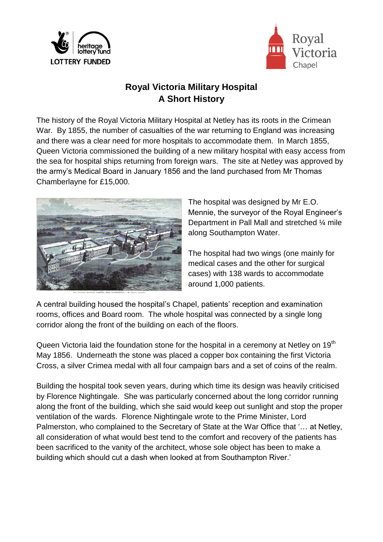



## **Royal Victoria Military Hospital A Short History**

The history of the Royal Victoria Military Hospital at Netley has its roots in the Crimean War. By 1855, the number of casualties of the war returning to England was increasing and there was a clear need for more hospitals to accommodate them. In March 1855, Queen Victoria commissioned the building of a new military hospital with easy access from the sea for hospital ships returning from foreign wars. The site at Netley was approved by the army's Medical Board in January 1856 and the land purchased from Mr Thomas Chamberlayne for £15,000.



The hospital was designed by Mr E.O. Mennie, the surveyor of the Royal Engineer's Department in Pall Mall and stretched ¼ mile along Southampton Water.

The hospital had two wings (one mainly for medical cases and the other for surgical cases) with 138 wards to accommodate around 1,000 patients.

A central building housed the hospital's Chapel, patients' reception and examination rooms, offices and Board room. The whole hospital was connected by a single long corridor along the front of the building on each of the floors.

Queen Victoria laid the foundation stone for the hospital in a ceremony at Netley on 19<sup>th</sup> May 1856. Underneath the stone was placed a copper box containing the first Victoria Cross, a silver Crimea medal with all four campaign bars and a set of coins of the realm.

Building the hospital took seven years, during which time its design was heavily criticised by Florence Nightingale. She was particularly concerned about the long corridor running along the front of the building, which she said would keep out sunlight and stop the proper ventilation of the wards. Florence Nightingale wrote to the Prime Minister, Lord Palmerston, who complained to the Secretary of State at the War Office that '… at Netley, all consideration of what would best tend to the comfort and recovery of the patients has been sacrificed to the vanity of the architect, whose sole object has been to make a building which should cut a dash when looked at from Southampton River.'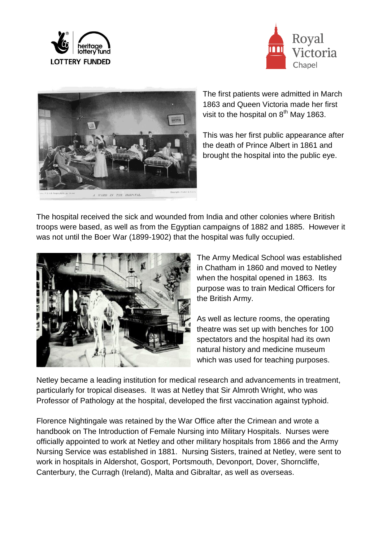





The first patients were admitted in March 1863 and Queen Victoria made her first visit to the hospital on  $8<sup>th</sup>$  May 1863.

This was her first public appearance after the death of Prince Albert in 1861 and brought the hospital into the public eye.

The hospital received the sick and wounded from India and other colonies where British troops were based, as well as from the Egyptian campaigns of 1882 and 1885. However it was not until the Boer War (1899-1902) that the hospital was fully occupied.



The Army Medical School was established in Chatham in 1860 and moved to Netley when the hospital opened in 1863. Its purpose was to train Medical Officers for the British Army.

As well as lecture rooms, the operating theatre was set up with benches for 100 spectators and the hospital had its own natural history and medicine museum which was used for teaching purposes.

Netley became a leading institution for medical research and advancements in treatment, particularly for tropical diseases. It was at Netley that Sir Almroth Wright, who was Professor of Pathology at the hospital, developed the first vaccination against typhoid.

Florence Nightingale was retained by the War Office after the Crimean and wrote a handbook on The Introduction of Female Nursing into Military Hospitals. Nurses were officially appointed to work at Netley and other military hospitals from 1866 and the Army Nursing Service was established in 1881. Nursing Sisters, trained at Netley, were sent to work in hospitals in Aldershot, Gosport, Portsmouth, Devonport, Dover, Shorncliffe, Canterbury, the Curragh (Ireland), Malta and Gibraltar, as well as overseas.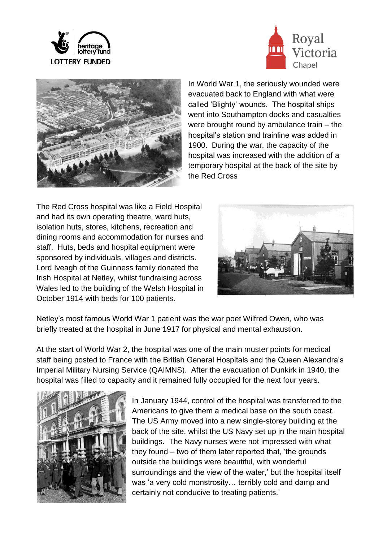





In World War 1, the seriously wounded were evacuated back to England with what were called 'Blighty' wounds. The hospital ships went into Southampton docks and casualties were brought round by ambulance train – the hospital's station and trainline was added in 1900. During the war, the capacity of the hospital was increased with the addition of a temporary hospital at the back of the site by the Red Cross

The Red Cross hospital was like a Field Hospital and had its own operating theatre, ward huts, isolation huts, stores, kitchens, recreation and dining rooms and accommodation for nurses and staff. Huts, beds and hospital equipment were sponsored by individuals, villages and districts. Lord Iveagh of the Guinness family donated the Irish Hospital at Netley, whilst fundraising across Wales led to the building of the Welsh Hospital in October 1914 with beds for 100 patients.



Netley's most famous World War 1 patient was the war poet Wilfred Owen, who was briefly treated at the hospital in June 1917 for physical and mental exhaustion.

At the start of World War 2, the hospital was one of the main muster points for medical staff being posted to France with the British General Hospitals and the Queen Alexandra's Imperial Military Nursing Service (QAIMNS). After the evacuation of Dunkirk in 1940, the hospital was filled to capacity and it remained fully occupied for the next four years.



In January 1944, control of the hospital was transferred to the Americans to give them a medical base on the south coast. The US Army moved into a new single-storey building at the back of the site, whilst the US Navy set up in the main hospital buildings. The Navy nurses were not impressed with what they found – two of them later reported that, 'the grounds outside the buildings were beautiful, with wonderful surroundings and the view of the water,' but the hospital itself was 'a very cold monstrosity… terribly cold and damp and certainly not conducive to treating patients.'